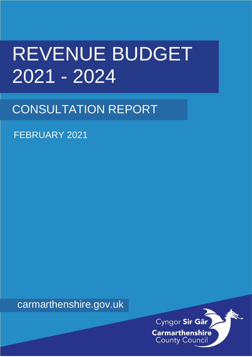# REVENUE BUDGET 2021 - 2024

## CONSULTATION REPORT

FEBRUARY 2021

carmarthenshire.gov.uk

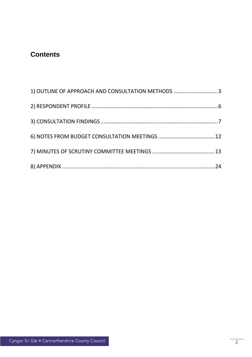### **Contents**

| 1) OUTLINE OF APPROACH AND CONSULTATION METHODS 3 |  |
|---------------------------------------------------|--|
|                                                   |  |
|                                                   |  |
|                                                   |  |
|                                                   |  |
|                                                   |  |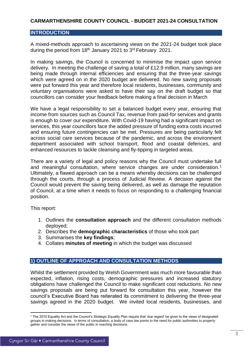#### **CARMARTHENSHIRE COUNTY COUNCIL - BUDGET 2021-24 CONSULTATION**

#### **INTRODUCTION**

A mixed-methods approach to ascertaining views on the 2021-24 budget took place during the period from 18<sup>th</sup> January 2021 to 3<sup>rd</sup> February 2021.

In making savings, the Council is concerned to minimise the impact upon service delivery. In meeting the challenge of saving a total of £12.9 million, many savings are being made through internal efficiencies and ensuring that the three-year savings which were agreed on in the 2020 budget are delivered. No new saving proposals were put forward this year and therefore local residents, businesses, community and voluntary organisations were asked to have their say on the draft budget so that councillors can consider your feedback before making a final decision in March

We have a legal responsibility to set a balanced budget every year, ensuring that income from sources such as Council Tax, revenue from paid-for services and grants is enough to cover our expenditure. With Covid-19 having had a significant impact on services, this year councillors face the added pressure of funding extra costs incurred and ensuring future contingencies can be met. Pressures are being particularly felt across social care services because of the pandemic, and across the environment department associated with school transport, flood and coastal defences, and enhanced resources to tackle cleansing and fly-tipping in targeted areas.

There are a variety of legal and policy reasons why the Council must undertake full and meaningful consultation, where service changes are under consideration.<sup>1</sup> Ultimately, a flawed approach can be a means whereby decisions can be challenged through the courts, through a process of Judicial Review. A decision against the Council would prevent the saving being delivered, as well as damage the reputation of Council, at a time when it needs to focus on responding to a challenging financial position.

This report:

- 1. Outlines the **consultation approach** and the different consultation methods deployed;
- 2. Describes the **demographic characteristics** of those who took part
- 3. Summarises the **key findings**;
- 4. Collates **minutes of meeting** in which the budget was discussed

#### <span id="page-2-0"></span>**1) OUTLINE OF APPROACH AND CONSULTATION METHODS**

Whilst the settlement provided by Welsh Government was much more favourable than expected, inflation, rising costs, demographic pressures and increased statutory obligations have challenged the Council to make significant cost reductions. No new savings proposals are being put forward for consultation this year, however the council's Executive Board has reiterated its commitment to delivering the three-year savings agreed in the 2020 budget. We invited local residents, businesses, and

**.** 

<sup>1</sup> The 2010 Equality Act and the Council's Strategic Equality Plan require that 'due regard' be given to the views of designated groups in making decisions. In terms of consultation, a body of case law points to the need for public authorities to properly gather and consider the views of the public in reaching decisions.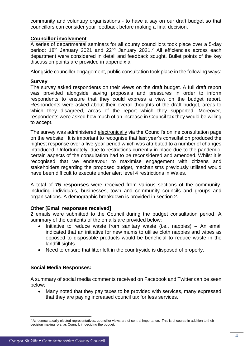community and voluntary organisations - to have a say on our draft budget so that councillors can consider your feedback before making a final decision.

#### **Councillor involvement**

A series of departmental seminars for all county councillors took place over a 5-day period: 18<sup>th</sup> January 2021 and 22<sup>nd</sup> January 2021.<sup>2</sup> All efficiencies across each department were considered in detail and feedback sought. Bullet points of the key discussion points are provided in appendix a.

Alongside councillor engagement, public consultation took place in the following ways:

#### **Survey**

The survey asked respondents on their views on the draft budget. A full draft report was provided alongside saving proposals and pressures in order to inform respondents to ensure that they could express a view on the budget report. Respondents were asked about their overall thoughts of the draft budget, areas to which they disagreed, areas of the report which they supported. Moreover, respondents were asked how much of an increase in Council tax they would be willing to accept.

The survey was administered electronically via the Council's online consultation page on the website. It is important to recognise that last year's consultation produced the highest response over a five-year period which was attributed to a number of changes introduced. Unfortunately, due to restrictions currently in place due to the pandemic, certain aspects of the consultation had to be reconsidered and amended. Whilst it is recognised that we endeavour to maximise engagement with citizens and stakeholders regarding the proposed budget, mechanisms previously utilised would have been difficult to execute under alert level 4 restrictions in Wales.

A total of **75 responses** were received from various sections of the community, including individuals, businesses, town and community councils and groups and organisations. A demographic breakdown is provided in section 2.

#### **Other [Email responses received]**

2 emails were submitted to the Council during the budget consultation period. A summary of the contents of the emails are provided below:

- $\bullet$  Initiative to reduce waste from sanitary waste (i.e., nappies) An email indicated that an initiative for new mums to utilise cloth nappies and wipes as opposed to disposable products would be beneficial to reduce waste in the landfill sights.
- Need to ensure that litter left in the countryside is disposed of properly.

#### **Social Media Responses:**

A summary of social media comments received on Facebook and Twitter can be seen below:

 Many noted that they pay taxes to be provided with services, many expressed that they are paying increased council tax for less services.

<sup>1</sup> <sup>2</sup> As democratically elected representatives, councillor views are of central importance. This is of course in addition to their decision making role, as Council, in deciding the budget.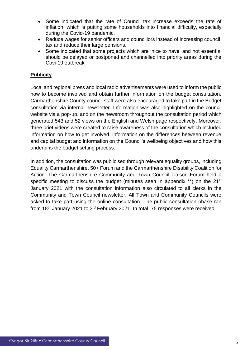- Some indicated that the rate of Council tax increase exceeds the rate of inflation, which is putting some households into financial difficulty, especially during the Covid-19 pandemic.
- Reduce wages for senior officers and councillors instead of increasing council tax and reduce their large pensions.
- Some indicated that some projects which are 'nice to have' and not essential should be delayed or postponed and channelled into priority areas during the Covi-19 outbreak.

#### **Publicity**

Local and regional press and local radio advertisements were used to inform the public how to become involved and obtain further information on the budget consultation. Carmarthenshire County council staff were also encouraged to take part in the Budget consultation via internal newsletter. Information was also highlighted on the council website via a pop-up, and on the newsroom throughout the consultation period which generated 543 and 52 views on the English and Welsh page respectively. Moreover, three brief videos were created to raise awareness of the consultation which included information on how to get involved, information on the differences between revenue and capital budget and information on the Council's wellbeing objectives and how this underpins the budget setting process.

In addition, the consultation was publicised through relevant equality groups, including Equality Carmarthenshire, 50+ Forum and the Carmarthenshire Disability Coalition for Action. The Carmarthenshire Community and Town Council Liaison Forum held a specific meeting to discuss the budget (minutes seen in appendix \*\*) on the 21<sup>st</sup> January 2021 with the consultation information also circulated to all clerks in the Community and Town Council newsletter. All Town and Community Councils were asked to take part using the online consultation. The public consultation phase ran from 18<sup>th</sup> January 2021 to 3<sup>rd</sup> February 2021. In total, 75 responses were received.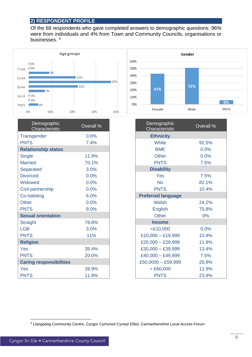#### <span id="page-5-0"></span>**2) RESPONDENT PROFILE**

Of the 68 respondents who gave completed answers to demographic questions: 96% were from individuals and 4% from Town and Community Councils, organisations or businesses.<sup>3</sup>



| Demographic<br>Characteristic  | Overall % | Demographic<br>Characteristic | Overall |
|--------------------------------|-----------|-------------------------------|---------|
| Transgender                    | 0.0%      | <b>Ethnicity</b>              |         |
| <b>PNTS</b>                    | 7.4%      | White                         | 92.5%   |
| <b>Relationship status</b>     |           | <b>BME</b>                    | 0.0%    |
| <b>Single</b>                  | 11.9%     | <b>Other</b>                  | 0.0%    |
| <b>Married</b>                 | 70.1%     | <b>PNTS</b>                   | 7.5%    |
| <b>Separated</b>               | 3.0%      | <b>Disability</b>             |         |
| <b>Divorced</b>                | 0.0%      | Yes                           | 7.5%    |
| Widowed                        | 0.0%      | <b>No</b>                     | 82.1%   |
| Civil partnership              | 0.0%      | <b>PNTS</b>                   | 10.4%   |
| Co-habiting                    | 6.0%      | <b>Preferred language</b>     |         |
| <b>Other</b>                   | 0.0%      | Welsh                         | 24.2%   |
| <b>PNTS</b>                    | 9.0%      | <b>English</b>                | 75.8%   |
| <b>Sexual orientation</b>      |           | <b>Other</b>                  | $0\%$   |
| <b>Straight</b>                | 78.8%     | <b>Income</b>                 |         |
| <b>LGB</b>                     | 3.0%      | $<$ £10,000                   | 0.0%    |
| <b>PNTS</b>                    | 11%       | $£10,000 - £19,999$           | 10.4%   |
| <b>Religion</b>                |           | $£20,000 - £29,999$           | 11.9%   |
| <b>Yes</b>                     | 35.4%     | $£30,000 - £39,999$           | 13.4%   |
| <b>PNTS</b>                    | 20.0%     | $£40,000 - £49,999$           | 7.5%    |
| <b>Caring responsibilities</b> |           | $£50,0000 - £59,999$          | 20.9%   |
| Yes                            | 26.9%     | > £60,000                     | 11.9%   |
| <b>PNTS</b>                    | 11.9%     | <b>PNTS</b>                   | 23.9%   |



| Demographic<br>Characteristic | Overall % |
|-------------------------------|-----------|
| <b>Ethnicity</b>              |           |
| White                         | 92.5%     |
| <b>BME</b>                    | 0.0%      |
| <b>Other</b>                  | 0.0%      |
| <b>PNTS</b>                   | 7.5%      |
| <b>Disability</b>             |           |
| Yes                           | 7.5%      |
| <b>No</b>                     | 82.1%     |
| <b>PNTS</b>                   | 10.4%     |
| <b>Preferred language</b>     |           |
| Welsh                         | 24.2%     |
| <b>English</b>                | 75.8%     |
| <b>Other</b>                  | 0%        |
| <b>Income</b>                 |           |
| $<$ £10,000                   | 0.0%      |
| $£10,000 - £19,999$           | 10.4%     |
| £20,000 - £29,999             | 11.9%     |
| £30,000 - £39,999             | 13.4%     |
| $£40,000 - £49,999$           | 7.5%      |
| $£50,0000 - £59,999$          | 20.9%     |
| > £60,000                     | 11.9%     |
| <b>PNTS</b>                   | 23.9%     |

**.** 

<sup>3</sup> Llangadog Community Centre, Cyngor Cymuned Cynwyl Elfed, Carmarthenshire Local Access Forum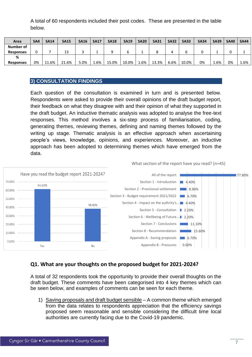A total of 60 respondents included their post codes. These are presented in the table below.

| Area             | SA4 | <b>SA14</b> | <b>SA15</b> | <b>SA16</b> | <b>SA17</b> | <b>SA18</b> | <b>SA19</b> | <b>SA20</b> | <b>SA31</b> | <b>SA32</b> | <b>SA33</b> | <b>SA34</b> | <b>SA39</b> | <b>SA40</b> | <b>SA44</b> |
|------------------|-----|-------------|-------------|-------------|-------------|-------------|-------------|-------------|-------------|-------------|-------------|-------------|-------------|-------------|-------------|
| Number of        |     |             |             |             |             |             |             |             |             |             |             |             |             |             |             |
| <b>Responses</b> |     |             | 13          |             |             |             |             |             |             |             |             |             |             |             |             |
| %                |     |             |             |             |             |             |             |             |             |             |             |             |             |             |             |
| <b>Responses</b> | 0%  | 11.6%       | 21.6%       | 5.0%        | 1.6%        | 15.0%       | 10.0%       | −6%.        | 13.3%       | 6.6%        | 10.0%       | 0%          | <b>1.6%</b> | 0%          | 1.6%        |

#### <span id="page-6-0"></span>**3) CONSULTATION FINDINGS**

Each question of the consultation is examined in turn and is presented below. Respondents were asked to provide their overall opinions of the draft budget report, their feedback on what they disagree with and their opinion of what they supported in the draft budget. An inductive thematic analysis was adopted to analyse the free-text responses. This method involves a six-step process of familiarisation, coding, generating themes, reviewing themes, defining and naming themes followed by the writing up stage. Thematic analysis is an effective approach when ascertaining people's views, knowledge, opinions, and experiences. Moreover, an inductive approach has been adopted to determining themes which have emerged from the data.



#### **Q1. What are your thoughts on the proposed budget for 2021-2024?**

A total of 32 respondents took the opportunity to provide their overall thoughts on the draft budget. These comments have been categorised into 4 key themes which can be seen below, and examples of comments can be seen for each theme.

1) Saving proposals and draft budget sensible – A common theme which emerged from the data relates to respondents appreciation that the efficiency savings proposed seem reasonable and sensible considering the difficult time local authorities are currently facing due to the Covid-19 pandemic.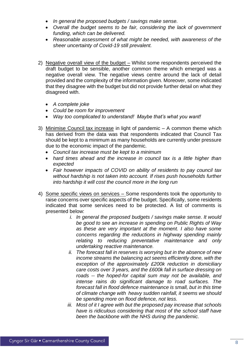- *In general the proposed budgets / savings make sense.*
- *Overall the budget seems to be fair, considering the lack of government funding, which can be delivered.*
- *Reasonable assessment of what might be needed, with awareness of the sheer uncertainty of Covid-19 still prevalent.*
- 2) Negative overall view of the budget Whilst some respondents perceived the draft budget to be sensible, another common theme which emerged was a negative overall view. The negative views centre around the lack of detail provided and the complexity of the information given. Moreover, some indicated that they disagree with the budget but did not provide further detail on what they disagreed with.
	- *A complete joke*
	- *Could be room for improvement*
	- *Way too complicated to understand! Maybe that's what you want!*
- 3) Minimise Council tax increase in light of pandemic A common theme which has derived from the data was that respondents indicated that Council Tax should be kept to a minimum as many households are currently under pressure due to the economic impact of the pandemic.
	- *Council tax increase must be kept to a minimum*
	- *hard times ahead and the increase in council tax is a little higher than expected*
	- *Fair however impacts of COVID on ability of residents to pay council tax without hardship is not taken into account. If rises push households further into hardship it will cost the council more in the long run*
- 4) Some specific views on services Some respondents took the opportunity to raise concerns over specific aspects of the budget. Specifically, some residents indicated that some services need to be protected. A list of comments is presented below:
	- *i. In general the proposed budgets / savings make sense. It would be good to see an increase in spending on Public Rights of Way as these are very important at the moment. I also have some concerns regarding the reductions in highway spending mainly relating to reducing preventative maintenance and only undertaking reactive maintenance.*
	- *ii. The forecast fall in reserves is worrying but in the absence of new income streams the balancing act seems efficiently done, with the exception of the approximately £200k reduction in domiciliary care costs over 3 years, and the £600k fall in surface dressing on roads -- the hoped-for capital sum may not be available, and intense rains do significant damage to road surfaces. The forecast fall in flood defence maintenance is small, but in this time of climate change with heavy sudden rainfall, it seems we should be spending more on flood defence, not less.*
	- *iii. Most of it I agree with but the proposed pay increase that schools have is ridiculous considering that most of the school staff have been the backbone with the NHS during the pandemic.*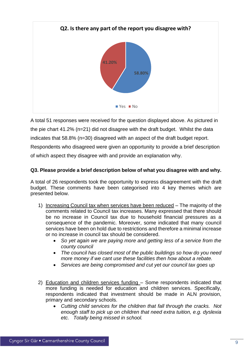

A total 51 responses were received for the question displayed above. As pictured in the pie chart 41.2% (n=21) did not disagree with the draft budget. Whilst the data indicates that 58.8% (n=30) disagreed with an aspect of the draft budget report. Respondents who disagreed were given an opportunity to provide a brief description of which aspect they disagree with and provide an explanation why.

#### **Q3. Please provide a brief description below of what you disagree with and why.**

A total of 26 respondents took the opportunity to express disagreement with the draft budget. These comments have been categorised into 4 key themes which are presented below.

- 1) Increasing Council tax when services have been reduced The majority of the comments related to Council tax increases. Many expressed that there should be no increase in Council tax due to household financial pressures as a consequence of the pandemic. Moreover, some indicated that many council services have been on hold due to restrictions and therefore a minimal increase or no increase in council tax should be considered.
	- *So yet again we are paying more and getting less of a service from the county council*
	- *The council has closed most of the public buildings so how do you need more money if we cant use these facilities then how about a rebate.*
	- *Services are being compromised and cut yet our council tax goes up*
- 2) Education and children services funding Some respondents indicated that more funding is needed for education and children services. Specifically, respondents indicated that investment should be made in ALN provision, primary and secondary schools.
	- *Cutting child services for the children that fall through the cracks. Not enough staff to pick up on children that need extra tuition, e.g. dyslexia etc. Totally being missed in school.*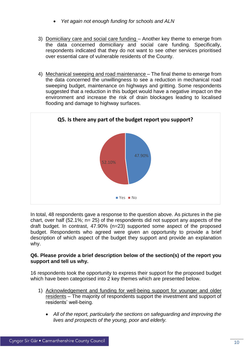- *Yet again not enough funding for schools and ALN*
- 3) Domiciliary care and social care funding Another key theme to emerge from the data concerned domiciliary and social care funding. Specifically, respondents indicated that they do not want to see other services prioritised over essential care of vulnerable residents of the County.
- 4) Mechanical sweeping and road maintenance The final theme to emerge from the data concerned the unwillingness to see a reduction in mechanical road sweeping budget, maintenance on highways and gritting. Some respondents suggested that a reduction in this budget would have a negative impact on the environment and increase the risk of drain blockages leading to localised flooding and damage to highway surfaces.



In total, 48 respondents gave a response to the question above. As pictures in the pie chart, over half (52.1%; n= 25) of the respondents did not support any aspects of the draft budget. In contrast, 47.90% (n=23) supported some aspect of the proposed budget. Respondents who agreed were given an opportunity to provide a brief description of which aspect of the budget they support and provide an explanation why.

#### **Q6. Please provide a brief description below of the section(s) of the report you support and tell us why.**

16 respondents took the opportunity to express their support for the proposed budget which have been categorised into 2 key themes which are presented below.

- 1) Acknowledgement and funding for well-being support for younger and older residents – The majority of respondents support the investment and support of residents' well-being.
	- *All of the report, particularly the sections on safeguarding and improving the lives and prospects of the young, poor and elderly.*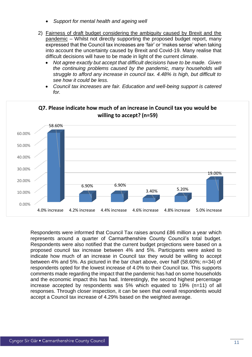- *Support for mental health and ageing well*
- 2) Fairness of draft budget considering the ambiguity caused by Brexit and the pandemic – Whilst not directly supporting the proposed budget report, many expressed that the Council tax increases are 'fair' or 'makes sense' when taking into account the uncertainty caused by Brexit and Covid-19. Many realise that difficult decisions will have to be made in light of the current climate.
	- *Not agree exactly but accept that difficult decisions have to be made. Given the continuing problems caused by the pandemic, many households will struggle to afford any increase in council tax. 4.48% is high, but difficult to see how it could be less.*
	- *Council tax increases are fair. Education and well-being support is catered for.*



### **Q7. Please indicate how much of an increase in Council tax you would be**

Respondents were informed that Council Tax raises around £86 million a year which represents around a quarter of Carmarthenshire County Council's total budget. Respondents were also notified that the current budget projections were based on a proposed council tax increase between 4% and 5%. Participants were asked to indicate how much of an increase in Council tax they would be willing to accept between 4% and 5%. As pictured in the bar chart above, over half (58.60%; n=34) of respondents opted for the lowest increase of 4.0% to their Council tax. This supports comments made regarding the impact that the pandemic has had on some households and the economic impact this has had. Interestingly, the second highest percentage increase accepted by respondents was 5% which equated to 19% (n=11) of all responses. Through closer inspection, it can be seen that overall respondents would accept a Council tax increase of 4.29% based on the weighted average.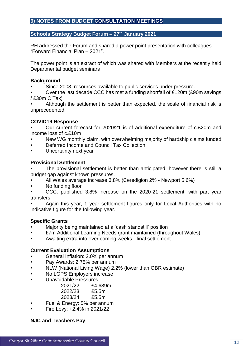#### <span id="page-11-0"></span>**6) NOTES FROM BUDGET CONSULTATION MEETINGS**

#### **Schools Strategy Budget Forum – 27th January 2021**

RH addressed the Forum and shared a power point presentation with colleagues "Forward Financial Plan – 2021".

The power point is an extract of which was shared with Members at the recently held Departmental budget seminars

#### **Background**

Since 2008, resources available to public services under pressure.

• Over the last decade CCC has met a funding shortfall of £120m (£90m savings / £30m C Tax)

Although the settlement is better than expected, the scale of financial risk is unprecedented.

#### **COVID19 Response**

• Our current forecast for 2020/21 is of additional expenditure of c.£20m and income loss of c.£10m

- New WG monthly claim, with overwhelming majority of hardship claims funded
- Deferred Income and Council Tax Collection
- Uncertainty next year

#### **Provisional Settlement**

The provisional settlement is better than anticipated, however there is still a budget gap against known pressures.

- All Wales average increase 3.8% (Ceredigion 2% Newport 5.6%)
- No funding floor

• CCC: published 3.8% increase on the 2020-21 settlement, with part year transfers

• Again this year, 1 year settlement figures only for Local Authorities with no indicative figure for the following year.

#### **Specific Grants**

- Majority being maintained at a 'cash standstill' position
- £7m Additional Learning Needs grant maintained (throughout Wales)
- Awaiting extra info over coming weeks final settlement

#### **Current Evaluation Assumptions**

- General Inflation: 2.0% per annum
- Pay Awards: 2.75% per annum
- NLW (National Living Wage) 2.2% (lower than OBR estimate)
- No LGPS Employers increase
- Unavoidable Pressures

| £4.689m |
|---------|
| £5.5m   |
| £5.5m   |
|         |

- Fuel & Energy: 5% per annum
- Fire Levy: +2.4% in 2021/22

#### **NJC and Teachers Pay**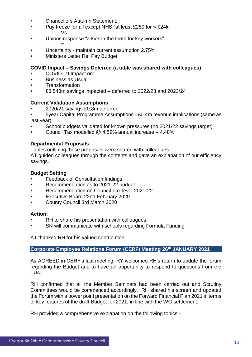- Chancellors Autumn Statement:
- Pay freeze for all except NHS "at least £250 for < £24k" Vs
- Unions response "a kick in the teeth for key workers" =
- Uncertainty maintain current assumption 2.75%
- Ministers Letter Re: Pay Budget

#### **COVID Impact – Savings Deferred (a table was shared with colleagues)**

- COVID-19 Impact on:
- Business as Usual
- **Transformation**
- £3.543m savings impacted deferred to 2022/23 and 2023/24

#### **Current Validation Assumptions**

- 2020/21 savings £0.8m deferred
- 5year Capital Programme Assumptions £0.4m revenue implications (same as last year)
- School budgets validated for known pressures (no 2021/22 savings target)
- Council Tax modelled  $\omega$  4.89% annual increase  $-4.48\%$

#### **Departmental Proposals**

Tables outlining these proposals were shared with colleagues

AT guided colleagues through the contents and gave an explanation of our efficiency savings.

#### **Budget Setting**

- **Feedback of Consultation findings**
- Recommendation as to 2021-22 budget
- Recommendation on Council Tax level 2021-22
- Executive Board 22nd February 2020
- County Council 3rd March 2020

#### **Action:**

- RH to share his presentation with colleagues
- SN will communicate with schools regarding Formula Funding

AT thanked RH for his valued contribution.

#### **Corporate Employee Relations Forum (CERF) Meeting 26th JANUARY 2021**

<span id="page-12-0"></span>As AGREED in CERF's last meeting, RY welcomed RH's return to update the forum regarding the Budget and to have an opportunity to respond to questions from the TUs.

RH confirmed that all the Member Seminars had been carried out and Scrutiny Committees would be commenced accordingly. RH shared his screen and updated the Forum with a power point presentation on the Forward Financial Plan 2021 in terms of key features of the draft Budget for 2021, in line with the WG settlement.

RH provided a comprehensive explanation on the following topics:-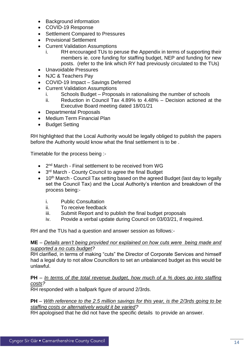- Background information
- COVID-19 Response
- Settlement Compared to Pressures
- Provisional Settlement
- Current Validation Assumptions
	- i. RH encouraged TUs to peruse the Appendix in terms of supporting their members ie. core funding for staffing budget, NEP and funding for new posts. (refer to the link which RY had previously circulated to the TUs)
- Unavoidable Pressures
- NJC & Teachers Pay
- COVID-19 Impact Savings Deferred
- Current Validation Assumptions
	- i. Schools Budget Proposals in rationalising the number of schools<br>ii. Reduction in Council Tax 4.89% to 4.48% Decision actioned at
	- Reduction in Council Tax 4.89% to  $4.48\%$  Decision actioned at the Executive Board meeting dated 18/01/21
- Departmental Proposals
- Medium Term Financial Plan
- Budget Setting

RH highlighted that the Local Authority would be legally obliged to publish the papers before the Authority would know what the final settlement is to be .

Timetable for the process being :-

- 2<sup>nd</sup> March Final settlement to be received from WG
- 3<sup>rd</sup> March County Council to agree the final Budget
- 10<sup>th</sup> March Council Tax setting based on the agreed Budget (last day to legally set the Council Tax) and the Local Authority's intention and breakdown of the process being:
	- i. Public Consultation
	- ii. To receive feedback
	- iii. Submit Report and to publish the final budget proposals
	- iv. Provide a verbal update during Council on 03/03/21, if required.

RH and the TUs had a question and answer session as follows:-

#### **ME** – *Details aren't being provided nor explained on how cuts were being made and supported a no cuts budget?*

RH clarified, in terms of making "cuts" the Director of Corporate Services and himself had a legal duty to not allow Councillors to set an unbalanced budget as this would be unlawful.

#### **PH** – *In terms of the total revenue budget, how much of a % does go into staffing costs?*

RH responded with a ballpark figure of around 2/3rds.

#### **PH** – *With reference to the 2.5 million savings for this year, is the 2/3rds going to be staffing costs or alternatively would it be varied?*

RH apologised that he did not have the specific details to provide an answer.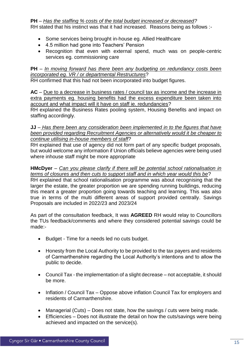#### **PH** – *Has the staffing % costs of the total budget increased or decreased?*

RH stated that his instinct was that it had increased. Reasons being as follows :-

- Some services being brought in-house eg. Allied Healthcare
- 4.5 million had gone into Teachers' Pension
- Recognition that even with external spend, much was on people-centric services eg. commissioning care

#### **PH** – *In moving forward has there been any budgeting on redundancy costs been incorporated eg. VR / or departmental Restructures*?

RH confirmed that this had not been incorporated into budget figures.

**AC** – Due to a decrease in business rates / council tax as income and the increase in extra payments eg. housing benefits had the excess expenditure been taken into account and what impact will it have on staff ie. redundancies?

RH explained the Business Rates pooling system, Housing Benefits and impact on staffing accordingly.

**JJ** – *Has there been any consideration been implemented in to the figures that have been provided regarding Recruitment Agencies or alternatively would it be cheaper to continue utilising in-house members of staff?*

RH explained that use of agency did not form part of any specific budget proposals, but would welcome any information if Union officials believe agencies were being used where inhouse staff might be more appropriate

#### **HMcDyer** – *Can you please clarify if there will be potential school rationalisation in terms of closures and then cuts to support staff and in which year would this be*?

RH explained that school rationalisation programme was about recognising that the larger the estate, the greater proportion we are spending running buildings, reducing this meant a greater proportion going towards teaching and learning. This was also true in terms of the multi different areas of support provided centrally. Savings Proposals are included in 2022/23 and 2023/24

As part of the consultation feedback, It was **AGREED** RH would relay to Councillors the TUs feedback/comments and where they considered potential savings could be made:-

- Budget Time for a needs led no cuts budget.
- Honesty from the Local Authority to be provided to the tax payers and residents of Carmarthenshire regarding the Local Authority's intentions and to allow the public to decide.
- Council Tax the implementation of a slight decrease not acceptable, it should be more.
- Inflation / Council Tax Oppose above inflation Council Tax for employers and residents of Carmarthenshire.
- Managerial (Cuts) Does not state, how the savings / cuts were being made.
- Efficiencies Does not illustrate the detail on how the cuts/savings were being achieved and impacted on the service(s).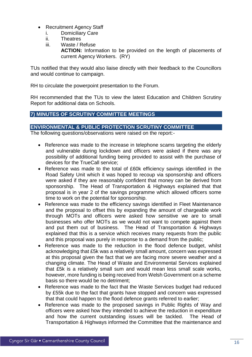- Recruitment Agency Staff
	- i. Domiciliary Care
	- ii. Theatres
	- iii. Waste / Refuse

**ACTION:** Information to be provided on the length of placements of current Agency Workers. (RY)

TUs notified that they would also liaise directly with their feedback to the Councillors and would continue to campaign.

RH to circulate the powerpoint presentation to the Forum.

RH recommended that the TUs to view the latest Education and Children Scrutiny Report for additional data on Schools.

#### **7) MINUTES OF SCRUTINY COMMITTEE MEETINGS**

#### **ENVIRONMENTAL & PUBLIC PROTECTION SCRUTINY COMMITTEE**

The following questions/observations were raised on the report:-

- Reference was made to the increase in telephone scams targeting the elderly and vulnerable during lockdown and officers were asked if there was any possibility of additional funding being provided to assist with the purchase of devices for the TrueCall service;
- Reference was made to the total of £60k efficiency savings identified in the Road Safety Unit which it was hoped to recoup via sponsorship and officers were asked if they are reasonably confident that money can be derived from sponsorship. The Head of Transportation & Highways explained that that proposal is in year 2 of the savings programme which allowed officers some time to work on the potential for sponsorship.
- Reference was made to the efficiency savings identified in Fleet Maintenance and the proposal to offset this by expanding the amount of chargeable work through MOTs and officers were asked how sensitive we are to small businesses who offer MOTs as we would not want to compete against them and put them out of business. The Head of Transportation & Highways explained that this is a service which receives many requests from the public and this proposal was purely in response to a demand from the public;
- Reference was made to the reduction in the flood defence budget, whilst acknowledging that £5k was a relatively small amount, concern was expressed at this proposal given the fact that we are facing more severe weather and a changing climate. The Head of Waste and Environmental Services explained that £5k is a relatively small sum and would mean less small scale works, however, more funding is being received from Welsh Government on a scheme basis so there would be no detriment;
- Reference was made to the fact that the Waste Services budget had reduced by £55k due to the fact that grants have stopped and concern was expressed that that could happen to the flood defence grants referred to earlier;
- Reference was made to the proposed savings in Public Rights of Way and officers were asked how they intended to achieve the reduction in expenditure and how the current outstanding issues will be tackled. The Head of Transportation & Highways informed the Committee that the maintenance and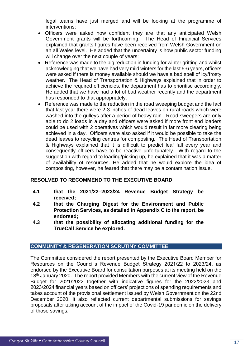legal teams have just merged and will be looking at the programme of interventions;

- Officers were asked how confident they are that any anticipated Welsh Government grants will be forthcoming. The Head of Financial Services explained that grants figures have been received from Welsh Government on an all Wales level. He added that the uncertainty is how public sector funding will change over the next couple of years;
- Reference was made to the big reduction in funding for winter gritting and whilst acknowledging that we have had very mild winters for the last 5-6 years, officers were asked if there is money available should we have a bad spell of icy/frosty weather. The Head of Transportation & Highways explained that in order to achieve the required efficiencies, the department has to prioritise accordingly. He added that we have had a lot of bad weather recently and the department has responded to that appropriately;
- Reference was made to the reduction in the road sweeping budget and the fact that last year there were 2-3 inches of dead leaves on rural roads which were washed into the gulleys after a period of heavy rain. Road sweepers are only able to do 2 loads in a day and officers were asked if more front end loaders could be used with 2 operatives which would result in far more clearing being achieved in a day. Officers were also asked if it would be possible to take the dead leaves to recycling centres for composting. The Head of Transportation & Highways explained that it is difficult to predict leaf fall every year and consequently officers have to be reactive unfortunately. With regard to the suggestion with regard to loading/picking up, he explained that it was a matter of availability of resources. He added that he would explore the idea of compositing, however, he feared that there may be a contamination issue.

#### **RESOLVED TO RECOMMEND TO THE EXECUTIVE BOARD**

- **4.1 that the 2021/22–2023/24 Revenue Budget Strategy be received;**
- **4.2 that the Charging Digest for the Environment and Public Protection Services, as detailed in Appendix C to the report, be endorsed;**
- **4.3 that the possibility of allocating additional funding for the TrueCall Service be explored.**

#### **COMMUNITY & REGENERATION SCRUTINY COMMITTEE**

The Committee considered the report presented by the Executive Board Member for Resources on the Council's Revenue Budget Strategy 2021/22 to 2023/24, as endorsed by the Executive Board for consultation purposes at its meeting held on the 18<sup>th</sup> January 2020. The report provided Members with the current view of the Revenue Budget for 2021/2022 together with indicative figures for the 2022/2023 and 2023/2024 financial years based on officers' projections of spending requirements and takes account of the provisional settlement issued by Welsh Government on the 22nd December 2020. It also reflected current departmental submissions for savings proposals after taking account of the impact of the Covid-19 pandemic on the delivery of those savings.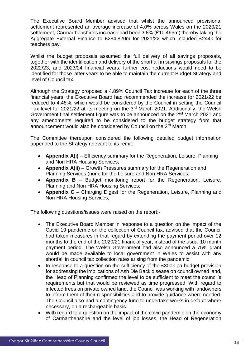The Executive Board Member advised that whilst the announced provisional settlement represented an average increase of 4.0% across Wales on the 2020/21 settlement, Carmarthenshire's increase had been 3.8% (£10.466m) thereby taking the Aggregate External Finance to £284.820m for 2021/22 which included £244k for teachers pay.

Whilst the budget proposals assumed the full delivery of all savings proposals, together with the identification and delivery of the shortfall in savings proposals for the 2022/23, and 2023/24 financial years, further cost reductions would need to be identified for those latter years to be able to maintain the current Budget Strategy and level of Council tax.

Although the Strategy proposed a 4.89% Council Tax increase for each of the three financial years, the Executive Board had recommended the increase for 2021/22 be reduced to 4.48%, which would be considered by the Council in setting the Council Tax level for 2021/22 at its meeting on the  $3<sup>rd</sup>$  March 2021. Additionally, the Welsh Government final settlement figure was to be announced on the 2<sup>nd</sup> March 2021 and any amendments required to be considered to the budget strategy from that announcement would also be considered by Council on the 3<sup>rd</sup> March

The Committee thereupon considered the following detailed budget information appended to the Strategy relevant to its remit:

- **Appendix A(i)** Efficiency summary for the Regeneration, Leisure, Planning and Non HRA Housing Services;
- **Appendix A(ii)** Growth Pressures summary for the Regeneration and Planning Services (none for the Leisure and Non HRA Services;
- **Appendix B** Budget monitoring report for the Regeneration, Leisure, Planning and Non HRA Housing Services;
- **Appendix C** Charging Digest for the Regeneration, Leisure, Planning and Non HRA Housing Services;

The following questions/issues were raised on the report:-

- The Executive Board Member in response to a question on the impact of the Covid 19 pandemic on the collection of Council tax, advised that the Council had taken measures in that regard by extending the payment period over 12 months to the end of the 2020/21 financial year, instead of the usual 10 month payment period. The Welsh Government had also announced a 75% grant would be made available to local government in Wales to assist with any shortfall in council tax collection rates arising from the pandemic
- In response to a question on the sufficiency of the £300k pa budget provision for addressing the implications of Ash Die Back disease on council owned land, the Head of Planning confirmed the level to be sufficient to meet the council's requirements but that would be reviewed as time progressed. With regard to infected trees on private owned land, the Council was working with landowners to inform them of their responsibilities and to provide guidance where needed. The Council also had a contingency fund to undertake works in default where necessary, on a rechargeable basis.
- With regard to a question on the impact of the covid pandemic on the economy of Carmarthenshire and the level of job losses, the Head of Regeneration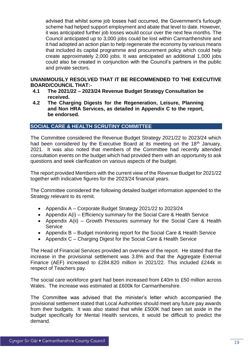advised that whilst some job losses had occurred, the Government's furlough scheme had helped support employment and abate that level to date. However, it was anticipated further job losses would occur over the next few months. The Council anticipated up to 3,000 jobs could be lost within Carmarthenshire and it had adopted an action plan to help regenerate the economy by various means that included its capital programme and procurement policy which could help create approximately 2,000 jobs. It was anticipated an additional 1,000 jobs could also be created in conjunction with the Council's partners in the public and private sectors.

#### **UNANIMOUSLY RESOLVED THAT IT BE RECOMMENDED TO THE EXECUTIVE BOARD/COUNCIL THAT:-**

- **4.1 The 2021/22 – 2023/24 Revenue Budget Strategy Consultation be received.**
- **4.2 The Charging Digests for the Regeneration, Leisure, Planning and Non HRA Services, as detailed in Appendix C to the report, be endorsed.**

#### **SOCIAL CARE & HEALTH SCRUTINY COMMITTEE**

The Committee considered the Revenue Budget Strategy 2021/22 to 2023/24 which had been considered by the Executive Board at its meeting on the 18<sup>th</sup> January, 2021. It was also noted that members of the Committee had recently attended consultation events on the budget which had provided them with an opportunity to ask questions and seek clarification on various aspects of the budget.

The report provided Members with the current view of the Revenue Budget for 2021/22 together with indicative figures for the 2023/24 financial years.

The Committee considered the following detailed budget information appended to the Strategy relevant to its remit.

- Appendix A Corporate Budget Strategy 2021/22 to 2023/24
- Appendix A(i) Efficiency summary for the Social Care & Health Service
- Appendix A(ii) Growth Pressures summary for the Social Care & Health **Service**
- Appendix B Budget monitoring report for the Social Care & Health Service
- Appendix C Charging Digest for the Social Care & Health Service

The Head of Financial Services provided an overview of the report. He stated that the increase in the provisional settlement was 3.8% and that the Aggregate External Finance (AEF) increased to £284.820 million in 2021/22. This included £244k in respect of Teachers pay.

The social care workforce grant had been increased from £40m to £50 million across Wales. The increase was estimated at  $f600k$  for Carmarthenshire.

The Committee was advised that the minister's letter which accompanied the provisional settlement stated that Local Authorities should meet any future pay awards from their budgets. It was also stated that while £500K had been set aside in the budget specifically for Mental Health services, it would be difficult to predict the demand.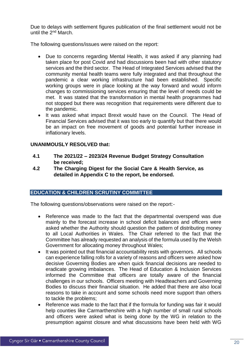Due to delays with settlement figures publication of the final settlement would not be until the 2nd March.

The following questions/issues were raised on the report:

- Due to concerns regarding Mental Health, it was asked if any planning had taken place for post Covid and had discussions been had with other statutory services and the third sector. The Head of Integrated Services advised that the community mental health teams were fully integrated and that throughout the pandemic a clear working infrastructure had been established. Specific working groups were in place looking at the way forward and would inform changes to commissioning services ensuring that the level of needs could be met. It was stated that the transformation in mental health programmes had not stopped but there was recognition that requirements were different due to the pandemic.
- It was asked what impact Brexit would have on the Council. The Head of Financial Services advised that it was too early to quantify but that there would be an impact on free movement of goods and potential further increase in inflationary levels.

#### **UNANIMOUSLY RESOLVED that:**

- **4.1 The 2021/22 – 2023/24 Revenue Budget Strategy Consultation be received;**
- **4.2 The Charging Digest for the Social Care & Health Service, as detailed in Appendix C to the report, be endorsed.**

#### **EDUCATION & CHILDREN SCRUTINY COMMITTEE**

The following questions/observations were raised on the report:-

- Reference was made to the fact that the departmental overspend was due mainly to the forecast increase in school deficit balances and officers were asked whether the Authority should question the pattern of distributing money to all Local Authorities in Wales. The Chair referred to the fact that the Committee has already requested an analysis of the formula used by the Welsh Government for allocating money throughout Wales;
- It was pointed out that financial accountability rests with governors. All schools can experience falling rolls for a variety of reasons and officers were asked how decisive Governing Bodies are when quick financial decisions are needed to eradicate growing imbalances. The Head of Education & Inclusion Services informed the Committee that officers are totally aware of the financial challenges in our schools. Officers meeting with Headteachers and Governing Bodies to discuss their financial situation. He added that there are also local reasons to take in account and some schools need more support than others to tackle the problems;
- Reference was made to the fact that if the formula for funding was fair it would help counties like Carmarthenshire with a high number of small rural schools and officers were asked what is being done by the WG in relation to the presumption against closure and what discussions have been held with WG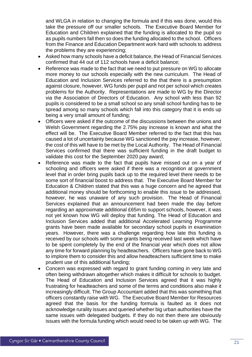and WLGA in relation to changing the formula and if this was done, would this take the pressure off our smaller schools. The Executive Board Member for Education and Children explained that the funding is allocated to the pupil so as pupils numbers fall then so does the funding allocated to the school. Officers from the Finance and Education Department work hard with schools to address the problems they are experiencing;

- Asked how many schools have a deficit balance, the Head of Financial Services confirmed that 44 out of 112 schools have a deficit balance;
- Reference was made to the fact that we need to put pressure on WG to allocate more money to our schools especially with the new curriculum. The Head of Education and Inclusion Services referred to the that there is a presumption against closure, however, WG funds per pupil and not per school which creates problems for the Authority. Representations are made to WG by the Director via the Association of Directors of Education. Any school with less than 92 pupils is considered to be a small school so any small school funding has to be spread among so many schools which fall into this category that it is ends up being a very small amount of funding;
- Officers were asked if the outcome of the discussions between the unions and Welsh Government regarding the 2.75% pay increase is known and what the effect will be. The Executive Board Member referred to the fact that this has caused a lot of uncertainty because WG sanctioned the pay increase, however, the cost of this will have to be met by the Local Authority. The Head of Financial Services confirmed that there was sufficient funding in the draft budget to validate this cost for the September 2020 pay award;
- Reference was made to the fact that pupils have missed out on a year of schooling and officers were asked if there was a recognition at government level that in order bring pupils back up to the required level there needs to be some sort of financial boost to address that. The Executive Board Member for Education & Children stated that this was a huge concern and he agreed that additional money should be forthcoming to enable this issue to be addressed, however, he was unaware of any such provision. The Head of Financial Services explained that an announcement had been made the day before regarding an approximate additional £65m to support schools, however, it was not yet known how WG will deploy that funding. The Head of Education and Inclusion Services added that additional Accelerated Learning Programme grants have been made available for secondary school pupils in examination years. However, there was a challenge regarding how late this funding is received by our schools with some grants being received last week which have to be spent completely by the end of the financial year which does not allow any time for forward planning by headteachers. Officers have gone back to WG to implore them to consider this and allow headteachers sufficient time to make prudent use of this additional funding;
- Concern was expressed with regard to grant funding coming in very late and often being withdrawn altogether which makes it difficult for schools to budget. The Head of Education and Inclusion Services agreed that it was highly frustrating for headteachers and some of the terms and conditions also make it increasingly difficult. The Group Accountant added that this was something that officers constantly raise with WG. The Executive Board Member for Resources agreed that the basis for the funding formula is faulted as it does not acknowledge rurality issues and queried whether big urban authorities have the same issues with delegated budgets. If they do not then there are obviously issues with the formula funding which would need to be taken up with WG. The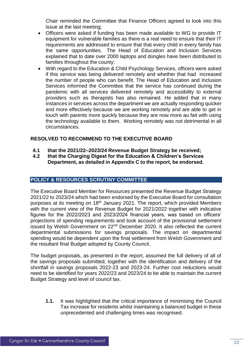Chair reminded the Committee that Finance Officers agreed to look into this issue at the last meeting;

- Officers were asked if funding has been made available to WG to provide IT equipment for vulnerable families as there is a real need to ensure that their IT requirements are addressed to ensure that that every child in every family has the same opportunities. The Head of Education and Inclusion Services explained that to date over 2000 laptops and dongles have been distributed to families throughout the county;
- With regard to the Education & Child Psychology Services, officers were asked if this service was being delivered remotely and whether that had increased the number of people who can benefit. The Head of Education and Inclusion Services informed the Committee that the service has continued during the pandemic with all services delivered remotely and accessibility to external providers such as therapists has also remained. He added that in many instances in services across the department we are actually responding quicker and more effectively because we are working remotely and are able to get in touch with parents more quickly because they are now more au fait with using the technology available to them. Working remotely was not detrimental in all circumstances.

#### **RESOLVED TO RECOMMEND TO THE EXECUTIVE BOARD**

- **4.1 that the 2021/22–2023/24 Revenue Budget Strategy be received;**
- **4.2 that the Charging Digest for the Education & Children's Services Department, as detailed in Appendix C to the report, be endorsed.**

#### **POLICY & RESOURCES SCRUTINY COMMITTEE**

The Executive Board Member for Resources presented the Revenue Budget Strategy 2021/22 to 2023/24 which had been endorsed by the Executive Board for consultation purposes at its meeting on  $18<sup>th</sup>$  January 2021. The report, which provided Members with the current view of the Revenue Budget for 2021/2022 together with indicative figures for the 2022/2023 and 2023/2024 financial years, was based on officers' projections of spending requirements and took account of the provisional settlement issued by Welsh Government on 22<sup>nd</sup> December 2020. It also reflected the current departmental submissions for savings proposals. The impact on departmental spending would be dependent upon the final settlement from Welsh Government and the resultant final Budget adopted by County Council.

The budget proposals, as presented in the report, assumed the full delivery of all of the savings proposals submitted, together with the identification and delivery of the shortfall in savings proposals 2022-23 and 2023-24. Further cost reductions would need to be identified for years 2022/23 and 2023/24 to be able to maintain the current Budget Strategy and level of council tax.

**1.1.** It was highlighted that the critical importance of minimising the Council Tax increase for residents whilst maintaining a balanced budget in these unprecedented and challenging times was recognised.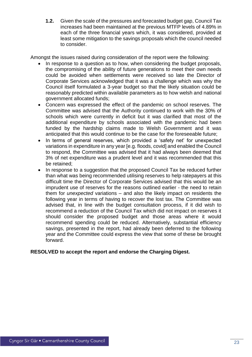**1.2.** Given the scale of the pressures and forecasted budget gap, Council Tax increases had been maintained at the previous MTFP levels of 4.89% in each of the three financial years which, it was considered, provided at least some mitigation to the savings proposals which the council needed to consider.

Amongst the issues raised during consideration of the report were the following:

- In response to a question as to how, when considering the budget proposals, the compromising of the ability of future generations to meet their own needs could be avoided when settlements were received so late the Director of Corporate Services acknowledged that it was a challenge which was why the Council itself formulated a 3-year budget so that the likely situation could be reasonably predicted within available parameters as to how welsh and national government allocated funds;
- Concern was expressed the effect of the pandemic on school reserves. The Committee was advised that the Authority continued to work with the 30% of schools which were currently in deficit but it was clarified that most of the additional expenditure by schools associated with the pandemic had been funded by the hardship claims made to Welsh Government and it was anticipated that this would continue to be the case for the foreseeable future;
- In terms of general reserves, which provided a 'safety net' for unexpected variations in expenditure in any year [e.g. floods, covid] and enabled the Council to respond, the Committee was advised that it had always been deemed that 3% of net expenditure was a prudent level and it was recommended that this be retained;
- In response to a suggestion that the proposed Council Tax be reduced further than what was being recommended utilising reserves to help ratepayers at this difficult time the Director of Corporate Services advised that this would be an imprudent use of reserves for the reasons outlined earlier - the need to retain them for *unexpected* variations – and also the likely impact on residents the following year in terms of having to recover the lost tax. The Committee was advised that, in line with the budget consultation process, if it did wish to recommend a reduction of the Council Tax which did not impact on reserves it should consider the proposed budget and those areas where it would recommend spending could be reduced. Alternatively, substantial efficiency savings, presented in the report, had already been deferred to the following year and the Committee could express the view that some of these be brought forward.

#### **RESOLVED to accept the report and endorse the Charging Digest.**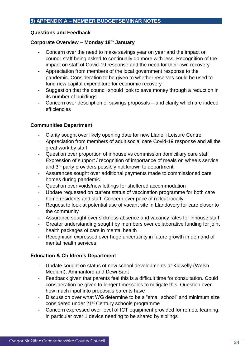#### <span id="page-23-0"></span>**Questions and Feedback**

#### **Corporate Overview – Monday 18th January**

- Concern over the need to make savings year on year and the impact on council staff being asked to continually do more with less. Recognition of the impact on staff of Covid-19 response and the need for their own recovery
- Appreciation from members of the local government response to the pandemic. Consideration to be given to whether reserves could be used to fund new capital expenditure for economic recovery
- Suggestion that the council should look to save money through a reduction in its number of buildings
- Concern over description of savings proposals and clarity which are indeed efficiencies

#### **Communities Department**

- Clarity sought over likely opening date for new Llanelli Leisure Centre
- Appreciation from members of adult social care Covid-19 response and all the great work by staff
- Question over proportion of inhouse vs commission domiciliary care staff
- Expression of support / recognition of importance of meals on wheels service and 3<sup>rd</sup> party providers possibly not known to department
- Assurances sought over additional payments made to commissioned care homes during pandemic
- Question over voids/new lettings for sheltered accommodation
- Update requested on current status of vaccination programme for both care home residents and staff. Concern over pace of rollout locally
- Request to look at potential use of vacant site in Llandovery for care closer to the community
- Assurance sought over sickness absence and vacancy rates for inhouse staff
- Greater understanding sought by members over collaborative funding for joint health packages of care in mental health
- Recognition expressed over huge uncertainty in future growth in demand of mental health services

#### **Education & Children's Department**

- Update sought on status of new school developments at Kidwelly (Welsh) Medium), Ammanford and Dewi Sant
- Feedback given that parents feel this is a difficult time for consultation. Could consideration be given to longer timescales to mitigate this. Question over how much input into proposals parents have
- Discussion over what WG determine to be a "small school" and minimum size considered under 21st Century schools programme
- Concern expressed over level of ICT equipment provided for remote learning, in particular over 1 device needing to be shared by siblings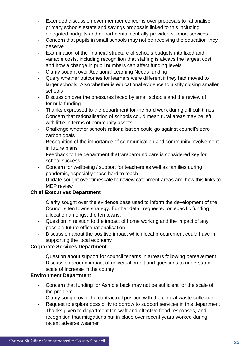- Extended discussion over member concerns over proposals to rationalise primary schools estate and savings proposals linked to this including delegated budgets and departmental centrally provided support services.
- Concern that pupils in small schools may not be receiving the education they deserve
- Examination of the financial structure of schools budgets into fixed and variable costs, including recognition that staffing is always the largest cost, and how a change in pupil numbers can affect funding levels
- Clarity sought over Additional Learning Needs funding
- Query whether outcomes for learners were different if they had moved to larger schools. Also whether is educational evidence to justify closing smaller schools
- Discussion over the pressures faced by small schools and the review of formula funding
- Thanks expressed to the department for the hard work during difficult times
- Concern that rationalisation of schools could mean rural areas may be left with little in terms of community assets
- Challenge whether schools rationalisation could go against council's zero carbon goals
- Recognition of the importance of communication and community involvement in future plans
- Feedback to the department that wraparound care is considered key for school success
- Concern for wellbeing / support for teachers as well as families during pandemic, especially those hard to reach
- Update sought over timescale to review catchment areas and how this links to MEP review

#### **Chief Executives Department**

- Clarity sought over the evidence base used to inform the development of the Council's ten towns strategy. Further detail requested on specific funding allocation amongst the ten towns.
- Question in relation to the impact of home working and the impact of any possible future office rationalisation
- Discussion about the positive impact which local procurement could have in supporting the local economy

#### **Corporate Services Department**

- Question about support for council tenants in arrears following bereavement
- Discussion around impact of universal credit and questions to understand scale of increase in the county

#### **Environment Department**

- Concern that funding for Ash die back may not be sufficient for the scale of the problem
- Clarity sought over the contractual position with the clinical waste collection
- Request to explore possibility to borrow to support services in this department
- Thanks given to department for swift and effective flood responses, and recognition that mitigations put in place over recent years worked during recent adverse weather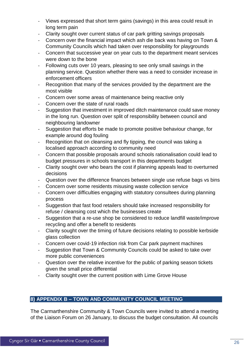- Views expressed that short term gains (savings) in this area could result in long term pain
- Clarity sought over current status of car park gritting savings proposals
- Concern over the financial impact which ash die back was having on Town & Community Councils which had taken over responsibility for playgrounds
- Concern that successive year on year cuts to the department meant services were down to the bone
- Following cuts over 10 years, pleasing to see only small savings in the planning service. Question whether there was a need to consider increase in enforcement officers
- Recognition that many of the services provided by the department are the most visible
- Concern over some areas of maintenance being reactive only
- Concern over the state of rural roads
- Suggestion that investment in improved ditch maintenance could save money in the long run. Question over split of responsibility between council and neighbouring landowner
- Suggestion that efforts be made to promote positive behaviour change, for example around dog fouling
- Recognition that on cleansing and fly tipping, the council was taking a localised approach according to community need
- Concern that possible proposals around schools rationalisation could lead to budget pressures in schools transport in this departments budget
- Clarity sought over who bears the cost if planning appeals lead to overturned decisions
- Question over the difference finances between single use refuse bags vs bins
- Concern over some residents misusing waste collection service
- Concern over difficulties engaging with statutory consultees during planning process
- Suggestion that fast food retailers should take increased responsibility for refuse / cleansing cost which the businesses create
- Suggestion that a re-use shop be considered to reduce landfill waste/improve recycling and offer a benefit to residents
- Clarity sought over the timing of future decisions relating to possible kerbside glass collection
- Concern over covid-19 infection risk from Car park payment machines
- Suggestion that Town & Community Councils could be asked to take over more public conveniences
- Question over the relative incentive for the public of parking season tickets given the small price differential
- Clarity sought over the current position with Lime Grove House

#### **8) APPENDIX B – TOWN AND COMMUNITY COUNCIL MEETING**

The Carmarthenshire Community & Town Councils were invited to attend a meeting of the Liaison Forum on 26 January, to discuss the budget consultation. All councils